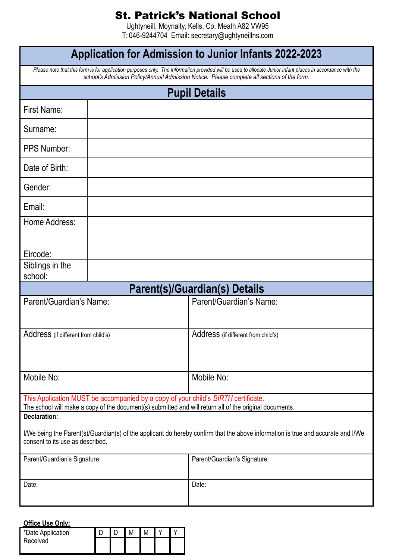## St. Patrick's National School

Ughtyneill, Moynalty, Kells, Co. Meath A82 VW95 T: 046-9244704 Email: secretary@ughtyneillns.com

| <b>Application for Admission to Junior Infants 2022-2023</b>                                                                                                                                                                                               |  |                                      |  |  |  |  |
|------------------------------------------------------------------------------------------------------------------------------------------------------------------------------------------------------------------------------------------------------------|--|--------------------------------------|--|--|--|--|
| Please note that this form is for application purposes only. The information provided will be used to allocate Junior Infant places in accordance with the<br>school's Admission Policy/Annual Admission Notice. Please complete all sections of the form. |  |                                      |  |  |  |  |
| <b>Pupil Details</b>                                                                                                                                                                                                                                       |  |                                      |  |  |  |  |
| First Name:                                                                                                                                                                                                                                                |  |                                      |  |  |  |  |
| Surname:                                                                                                                                                                                                                                                   |  |                                      |  |  |  |  |
| <b>PPS Number:</b>                                                                                                                                                                                                                                         |  |                                      |  |  |  |  |
| Date of Birth:                                                                                                                                                                                                                                             |  |                                      |  |  |  |  |
| Gender:                                                                                                                                                                                                                                                    |  |                                      |  |  |  |  |
| Email:                                                                                                                                                                                                                                                     |  |                                      |  |  |  |  |
| Home Address:                                                                                                                                                                                                                                              |  |                                      |  |  |  |  |
| Eircode:                                                                                                                                                                                                                                                   |  |                                      |  |  |  |  |
| Siblings in the                                                                                                                                                                                                                                            |  |                                      |  |  |  |  |
| school:                                                                                                                                                                                                                                                    |  | <b>Parent(s)/Guardian(s) Details</b> |  |  |  |  |
| Parent/Guardian's Name:                                                                                                                                                                                                                                    |  | Parent/Guardian's Name:              |  |  |  |  |
|                                                                                                                                                                                                                                                            |  |                                      |  |  |  |  |
| Address (if different from child's)                                                                                                                                                                                                                        |  | Address (if different from child's)  |  |  |  |  |
|                                                                                                                                                                                                                                                            |  |                                      |  |  |  |  |
| Mobile No:                                                                                                                                                                                                                                                 |  | Mobile No:                           |  |  |  |  |
|                                                                                                                                                                                                                                                            |  |                                      |  |  |  |  |
| This Application MUST be accompanied by a copy of your child's BIRTH certificate.<br>The school will make a copy of the document(s) submitted and will return all of the original documents.                                                               |  |                                      |  |  |  |  |
| <b>Declaration:</b>                                                                                                                                                                                                                                        |  |                                      |  |  |  |  |
| I/We being the Parent(s)/Guardian(s) of the applicant do hereby confirm that the above information is true and accurate and I/We<br>consent to its use as described.                                                                                       |  |                                      |  |  |  |  |
| Parent/Guardian's Signature:                                                                                                                                                                                                                               |  | Parent/Guardian's Signature:         |  |  |  |  |
| Date:                                                                                                                                                                                                                                                      |  | Date:                                |  |  |  |  |
|                                                                                                                                                                                                                                                            |  |                                      |  |  |  |  |
| Office Llse Only:                                                                                                                                                                                                                                          |  |                                      |  |  |  |  |

| <b>OTILE ASE OTILY.</b> |  |  |  |  |  |  |  |  |
|-------------------------|--|--|--|--|--|--|--|--|
| *Date Application       |  |  |  |  |  |  |  |  |
| Received                |  |  |  |  |  |  |  |  |